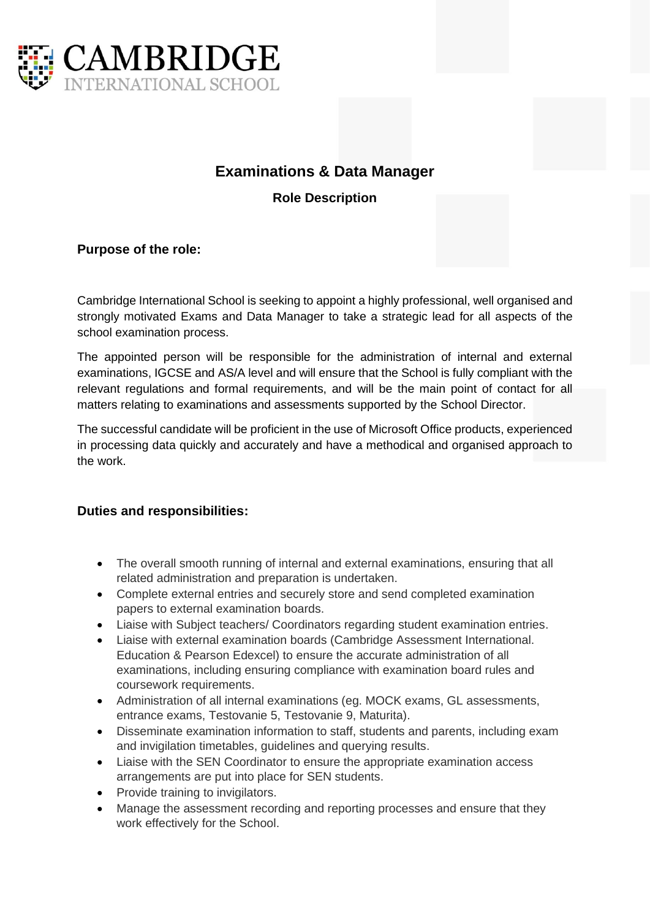

# **Examinations & Data Manager**

**Role Description**

# **Purpose of the role:**

Cambridge International School is seeking to appoint a highly professional, well organised and strongly motivated Exams and Data Manager to take a strategic lead for all aspects of the school examination process.

The appointed person will be responsible for the administration of internal and external examinations, IGCSE and AS/A level and will ensure that the School is fully compliant with the relevant regulations and formal requirements, and will be the main point of contact for all matters relating to examinations and assessments supported by the School Director.

The successful candidate will be proficient in the use of Microsoft Office products, experienced in processing data quickly and accurately and have a methodical and organised approach to the work.

### **Duties and responsibilities:**

- The overall smooth running of internal and external examinations, ensuring that all related administration and preparation is undertaken.
- Complete external entries and securely store and send completed examination papers to external examination boards.
- Liaise with Subject teachers/ Coordinators regarding student examination entries.
- Liaise with external examination boards (Cambridge Assessment International. Education & Pearson Edexcel) to ensure the accurate administration of all examinations, including ensuring compliance with examination board rules and coursework requirements.
- Administration of all internal examinations (eg. MOCK exams, GL assessments, entrance exams, Testovanie 5, Testovanie 9, Maturita).
- Disseminate examination information to staff, students and parents, including exam and invigilation timetables, guidelines and querying results.
- Liaise with the SEN Coordinator to ensure the appropriate examination access arrangements are put into place for SEN students.
- Provide training to invigilators.
- Manage the assessment recording and reporting processes and ensure that they work effectively for the School.